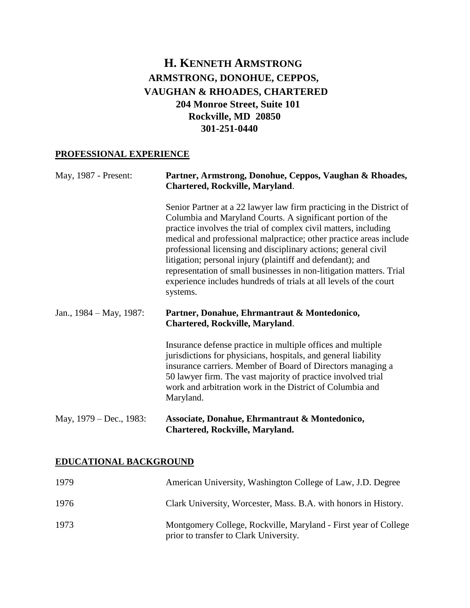# **H. KENNETH ARMSTRONG ARMSTRONG, DONOHUE, CEPPOS, VAUGHAN & RHOADES, CHARTERED 204 Monroe Street, Suite 101 Rockville, MD 20850 301-251-0440**

## **PROFESSIONAL EXPERIENCE**

| May, 1987 - Present:          | Partner, Armstrong, Donohue, Ceppos, Vaughan & Rhoades,<br>Chartered, Rockville, Maryland.                                                                                                                                                                                                                                                                                                                                                                                                                                                                          |
|-------------------------------|---------------------------------------------------------------------------------------------------------------------------------------------------------------------------------------------------------------------------------------------------------------------------------------------------------------------------------------------------------------------------------------------------------------------------------------------------------------------------------------------------------------------------------------------------------------------|
|                               | Senior Partner at a 22 lawyer law firm practicing in the District of<br>Columbia and Maryland Courts. A significant portion of the<br>practice involves the trial of complex civil matters, including<br>medical and professional malpractice; other practice areas include<br>professional licensing and disciplinary actions; general civil<br>litigation; personal injury (plaintiff and defendant); and<br>representation of small businesses in non-litigation matters. Trial<br>experience includes hundreds of trials at all levels of the court<br>systems. |
| Jan., $1984 - May$ , $1987$ : | Partner, Donahue, Ehrmantraut & Montedonico,<br><b>Chartered, Rockville, Maryland.</b>                                                                                                                                                                                                                                                                                                                                                                                                                                                                              |
|                               | Insurance defense practice in multiple offices and multiple<br>jurisdictions for physicians, hospitals, and general liability<br>insurance carriers. Member of Board of Directors managing a<br>50 lawyer firm. The vast majority of practice involved trial<br>work and arbitration work in the District of Columbia and<br>Maryland.                                                                                                                                                                                                                              |
| May, 1979 – Dec., 1983:       | Associate, Donahue, Ehrmantraut & Montedonico,<br>Chartered, Rockville, Maryland.                                                                                                                                                                                                                                                                                                                                                                                                                                                                                   |

## **EDUCATIONAL BACKGROUND**

| 1979 | American University, Washington College of Law, J.D. Degree                                               |
|------|-----------------------------------------------------------------------------------------------------------|
| 1976 | Clark University, Worcester, Mass. B.A. with honors in History.                                           |
| 1973 | Montgomery College, Rockville, Maryland - First year of College<br>prior to transfer to Clark University. |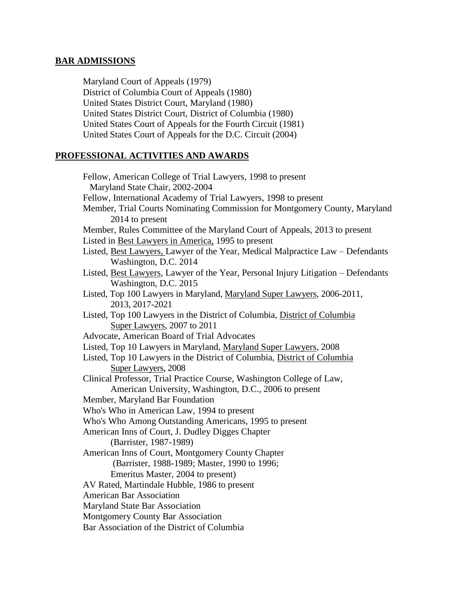#### **BAR ADMISSIONS**

Maryland Court of Appeals (1979) District of Columbia Court of Appeals (1980) United States District Court, Maryland (1980) United States District Court, District of Columbia (1980) United States Court of Appeals for the Fourth Circuit (1981) United States Court of Appeals for the D.C. Circuit (2004)

#### **PROFESSIONAL ACTIVITIES AND AWARDS**

Fellow, American College of Trial Lawyers, 1998 to present Maryland State Chair, 2002-2004 Fellow, International Academy of Trial Lawyers, 1998 to present Member, Trial Courts Nominating Commission for Montgomery County, Maryland 2014 to present Member, Rules Committee of the Maryland Court of Appeals, 2013 to present Listed in Best Lawyers in America, 1995 to present Listed, Best Lawyers, Lawyer of the Year, Medical Malpractice Law – Defendants Washington, D.C. 2014 Listed, Best Lawyers, Lawyer of the Year, Personal Injury Litigation – Defendants Washington, D.C. 2015 Listed, Top 100 Lawyers in Maryland, Maryland Super Lawyers, 2006-2011, 2013, 2017-2021 Listed, Top 100 Lawyers in the District of Columbia, District of Columbia Super Lawyers, 2007 to 2011 Advocate, American Board of Trial Advocates Listed, Top 10 Lawyers in Maryland, Maryland Super Lawyers, 2008 Listed, Top 10 Lawyers in the District of Columbia, District of Columbia Super Lawyers, 2008 Clinical Professor, Trial Practice Course, Washington College of Law, American University, Washington, D.C., 2006 to present Member, Maryland Bar Foundation Who's Who in American Law, 1994 to present Who's Who Among Outstanding Americans, 1995 to present American Inns of Court, J. Dudley Digges Chapter (Barrister, 1987-1989) American Inns of Court, Montgomery County Chapter (Barrister, 1988-1989; Master, 1990 to 1996; Emeritus Master, 2004 to present) AV Rated, Martindale Hubble, 1986 to present American Bar Association Maryland State Bar Association Montgomery County Bar Association Bar Association of the District of Columbia